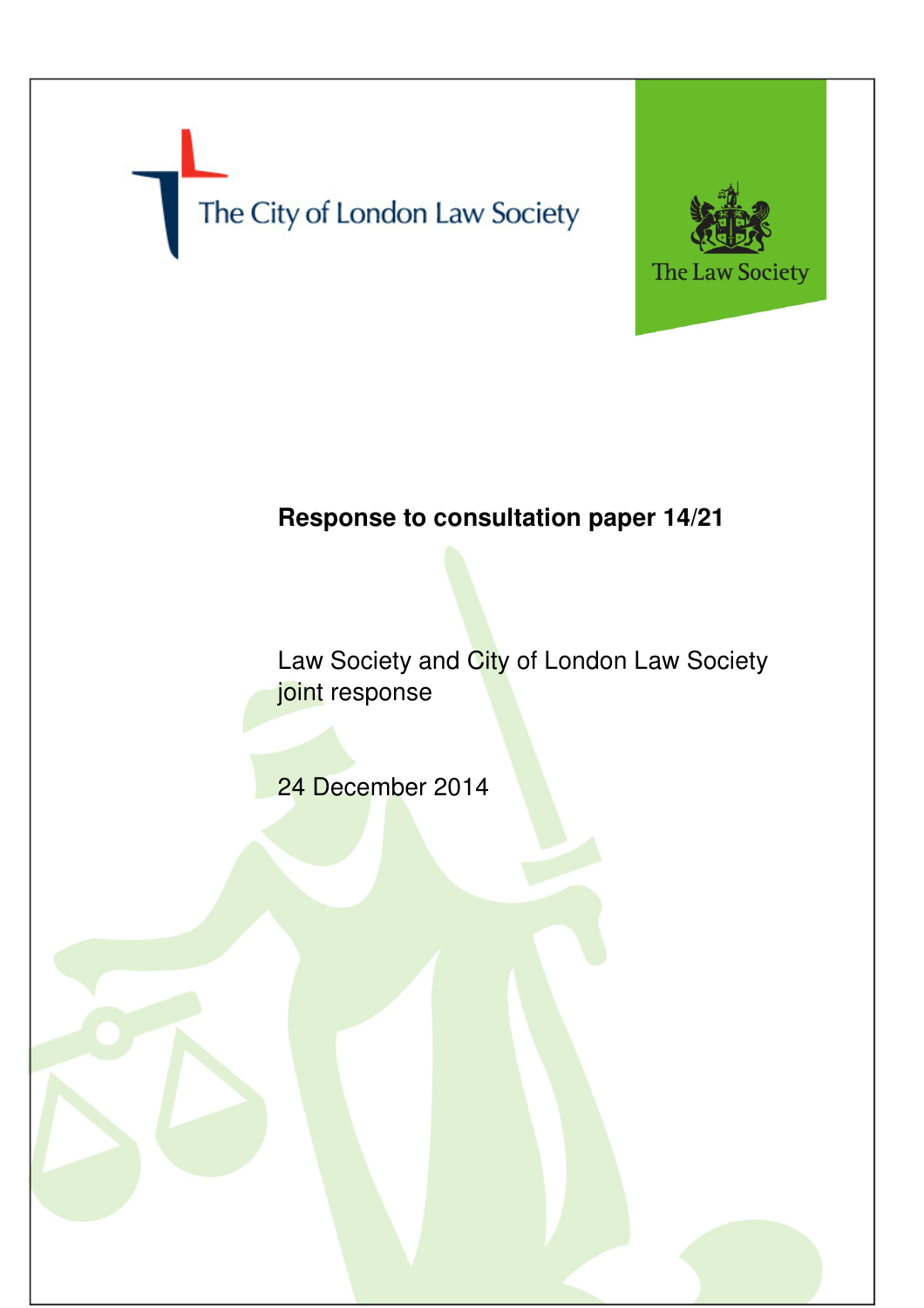The City of London Law Society



## **Response to consultation paper 14/21**

Law Society and City of London Law Society joint response

24 December 2014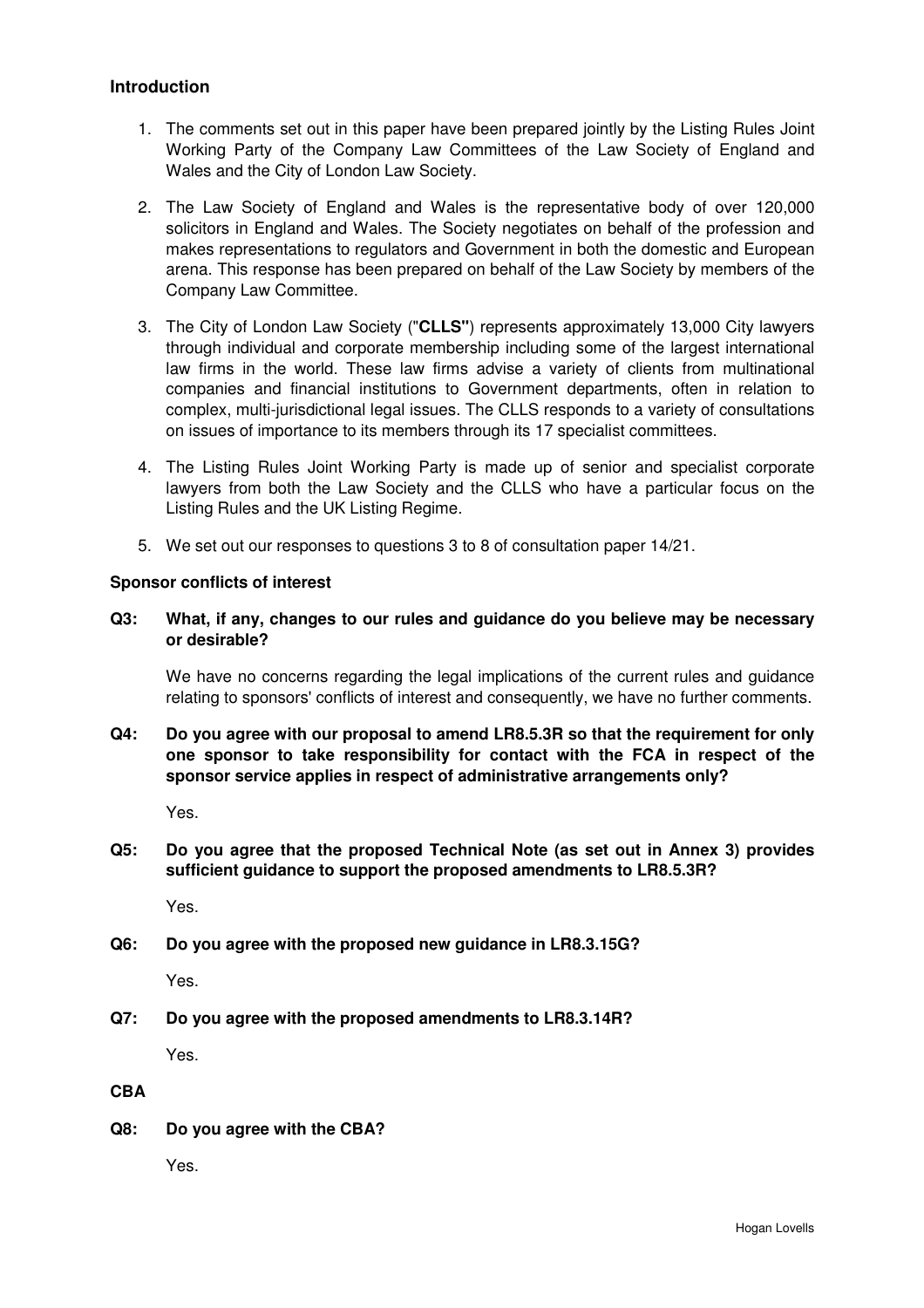## **Introduction**

- 1. The comments set out in this paper have been prepared jointly by the Listing Rules Joint Working Party of the Company Law Committees of the Law Society of England and Wales and the City of London Law Society.
- 2. The Law Society of England and Wales is the representative body of over 120,000 solicitors in England and Wales. The Society negotiates on behalf of the profession and makes representations to regulators and Government in both the domestic and European arena. This response has been prepared on behalf of the Law Society by members of the Company Law Committee.
- 3. The City of London Law Society ("**CLLS"**) represents approximately 13,000 City lawyers through individual and corporate membership including some of the largest international law firms in the world. These law firms advise a variety of clients from multinational companies and financial institutions to Government departments, often in relation to complex, multi-jurisdictional legal issues. The CLLS responds to a variety of consultations on issues of importance to its members through its 17 specialist committees.
- 4. The Listing Rules Joint Working Party is made up of senior and specialist corporate lawyers from both the Law Society and the CLLS who have a particular focus on the Listing Rules and the UK Listing Regime.
- 5. We set out our responses to questions 3 to 8 of consultation paper 14/21.

## **Sponsor conflicts of interest**

**Q3: What, if any, changes to our rules and guidance do you believe may be necessary or desirable?** 

We have no concerns regarding the legal implications of the current rules and guidance relating to sponsors' conflicts of interest and consequently, we have no further comments.

**Q4: Do you agree with our proposal to amend LR8.5.3R so that the requirement for only one sponsor to take responsibility for contact with the FCA in respect of the sponsor service applies in respect of administrative arrangements only?** 

Yes.

**Q5: Do you agree that the proposed Technical Note (as set out in Annex 3) provides sufficient guidance to support the proposed amendments to LR8.5.3R?** 

Yes.

**Q6: Do you agree with the proposed new guidance in LR8.3.15G?** 

Yes.

**Q7: Do you agree with the proposed amendments to LR8.3.14R?** 

Yes.

**CBA** 

**Q8: Do you agree with the CBA?** 

Yes.